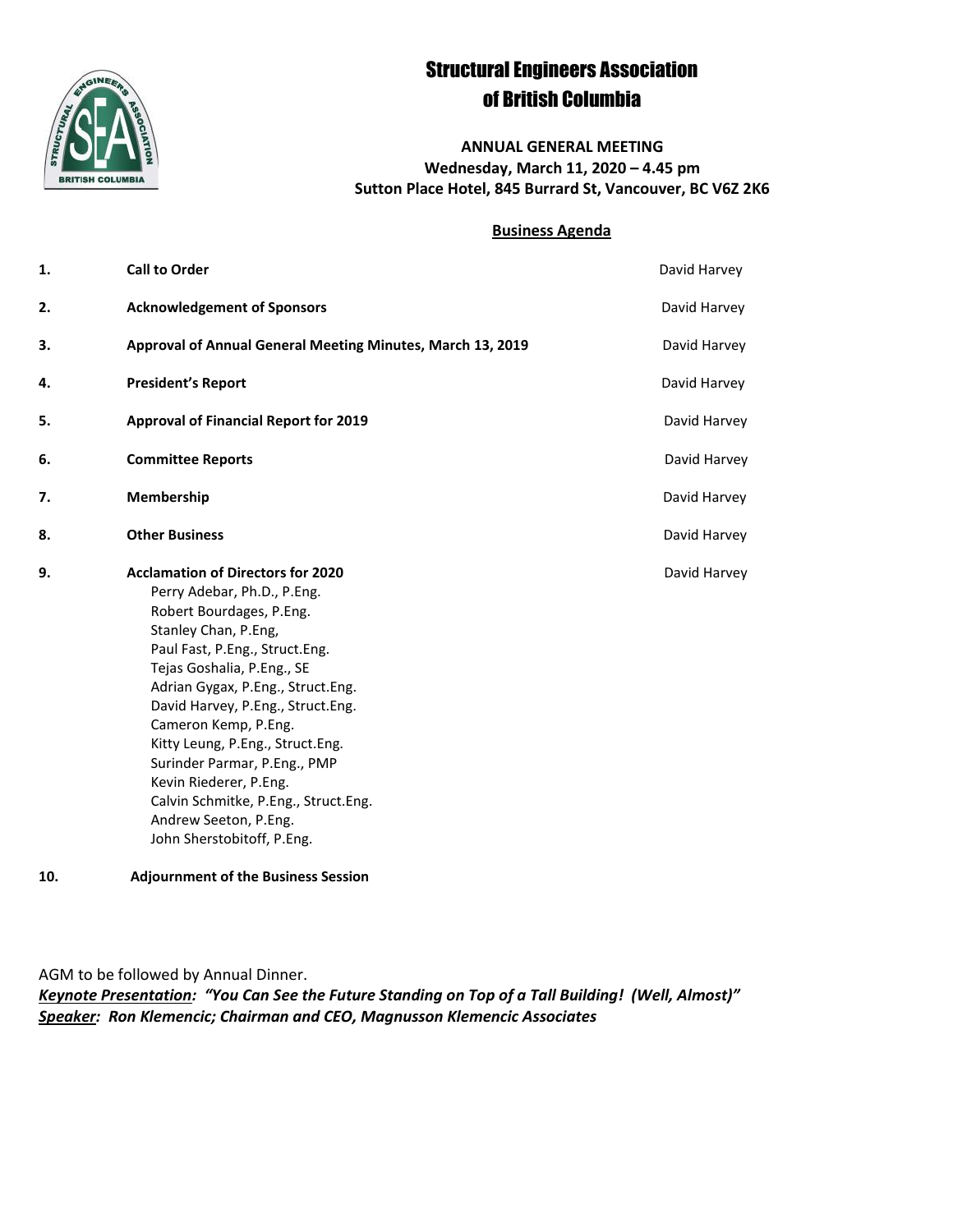

# Structural Engineers Association of British Columbia

**ANNUAL GENERAL MEETING Wednesday, March 11, 2020 – 4.45 pm Sutton Place Hotel, 845 Burrard St, Vancouver, BC V6Z 2K6**

#### **Business Agenda**

| 1. | <b>Call to Order</b>                                                                                                                                                                                                                                                                                                                                                                                                                                                                       | David Harvey |
|----|--------------------------------------------------------------------------------------------------------------------------------------------------------------------------------------------------------------------------------------------------------------------------------------------------------------------------------------------------------------------------------------------------------------------------------------------------------------------------------------------|--------------|
| 2. | <b>Acknowledgement of Sponsors</b>                                                                                                                                                                                                                                                                                                                                                                                                                                                         | David Harvey |
| 3. | Approval of Annual General Meeting Minutes, March 13, 2019                                                                                                                                                                                                                                                                                                                                                                                                                                 | David Harvey |
| 4. | <b>President's Report</b>                                                                                                                                                                                                                                                                                                                                                                                                                                                                  | David Harvey |
| 5. | <b>Approval of Financial Report for 2019</b>                                                                                                                                                                                                                                                                                                                                                                                                                                               | David Harvey |
| 6. | <b>Committee Reports</b>                                                                                                                                                                                                                                                                                                                                                                                                                                                                   | David Harvey |
| 7. | Membership                                                                                                                                                                                                                                                                                                                                                                                                                                                                                 | David Harvey |
| 8. | <b>Other Business</b>                                                                                                                                                                                                                                                                                                                                                                                                                                                                      | David Harvey |
| 9. | <b>Acclamation of Directors for 2020</b><br>Perry Adebar, Ph.D., P.Eng.<br>Robert Bourdages, P.Eng.<br>Stanley Chan, P.Eng,<br>Paul Fast, P.Eng., Struct.Eng.<br>Tejas Goshalia, P.Eng., SE<br>Adrian Gygax, P.Eng., Struct.Eng.<br>David Harvey, P.Eng., Struct.Eng.<br>Cameron Kemp, P.Eng.<br>Kitty Leung, P.Eng., Struct.Eng.<br>Surinder Parmar, P.Eng., PMP<br>Kevin Riederer, P.Eng.<br>Calvin Schmitke, P.Eng., Struct.Eng.<br>Andrew Seeton, P.Eng.<br>John Sherstobitoff, P.Eng. | David Harvey |

**10. Adjournment of the Business Session** 

AGM to be followed by Annual Dinner.

*Keynote Presentation: "You Can See the Future Standing on Top of a Tall Building! (Well, Almost)" Speaker: Ron Klemencic; Chairman and CEO, Magnusson Klemencic Associates*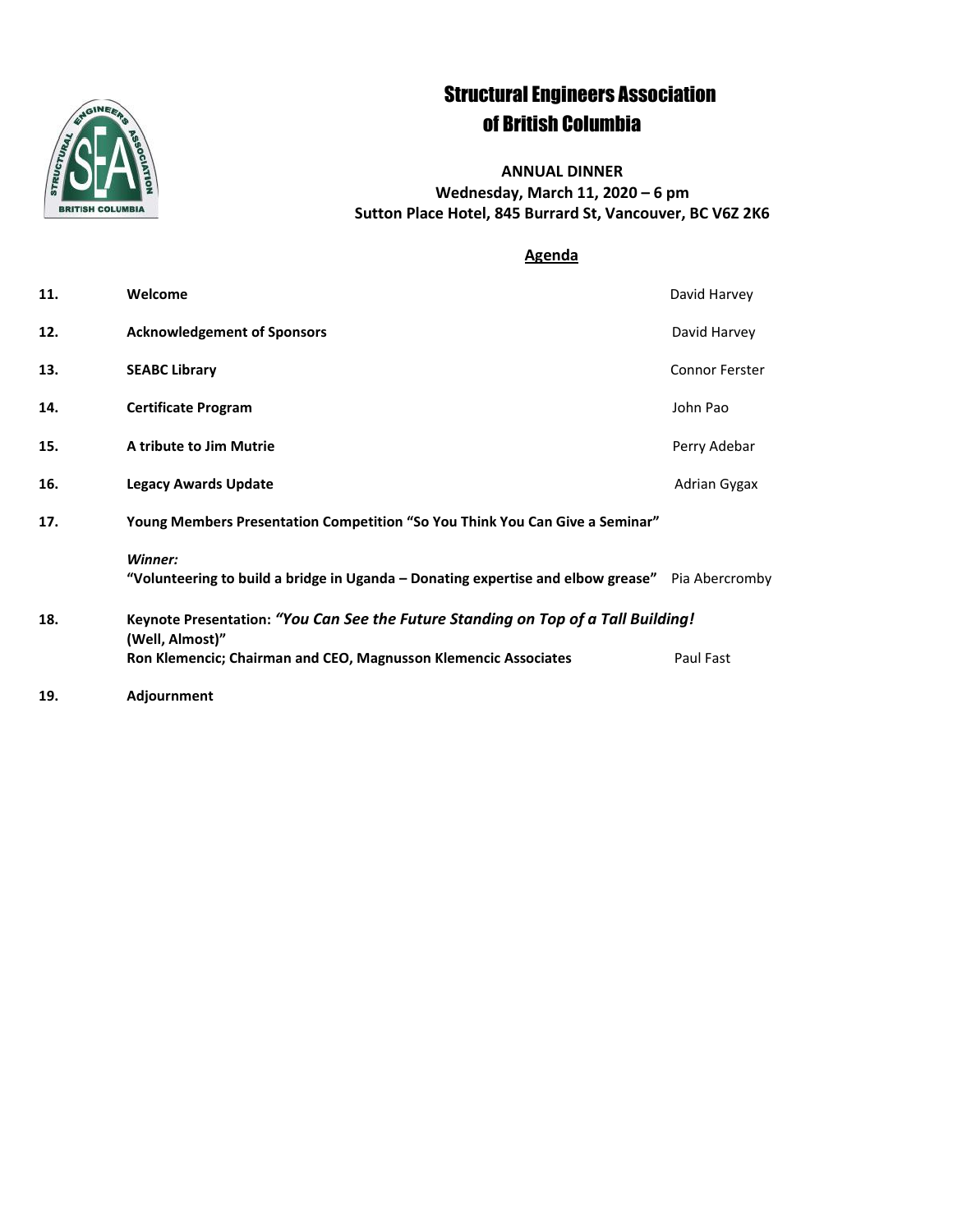

# Structural Engineers Association of British Columbia

**ANNUAL DINNER Wednesday, March 11, 2020 – 6 pm Sutton Place Hotel, 845 Burrard St, Vancouver, BC V6Z 2K6**

### **Agenda**

| 11. | Welcome                                                                                                    | David Harvey          |  |
|-----|------------------------------------------------------------------------------------------------------------|-----------------------|--|
| 12. | <b>Acknowledgement of Sponsors</b>                                                                         | David Harvey          |  |
| 13. | <b>SEABC Library</b>                                                                                       | <b>Connor Ferster</b> |  |
| 14. | <b>Certificate Program</b>                                                                                 | John Pao              |  |
| 15. | A tribute to Jim Mutrie                                                                                    | Perry Adebar          |  |
| 16. | <b>Legacy Awards Update</b>                                                                                | Adrian Gygax          |  |
| 17. | Young Members Presentation Competition "So You Think You Can Give a Seminar"                               |                       |  |
|     | Winner:<br>"Volunteering to build a bridge in Uganda - Donating expertise and elbow grease" Pia Abercromby |                       |  |
| 18. | Keynote Presentation: "You Can See the Future Standing on Top of a Tall Building!<br>(Well, Almost)"       |                       |  |
|     | Ron Klemencic; Chairman and CEO, Magnusson Klemencic Associates                                            | Paul Fast             |  |
| 19. | Adjournment                                                                                                |                       |  |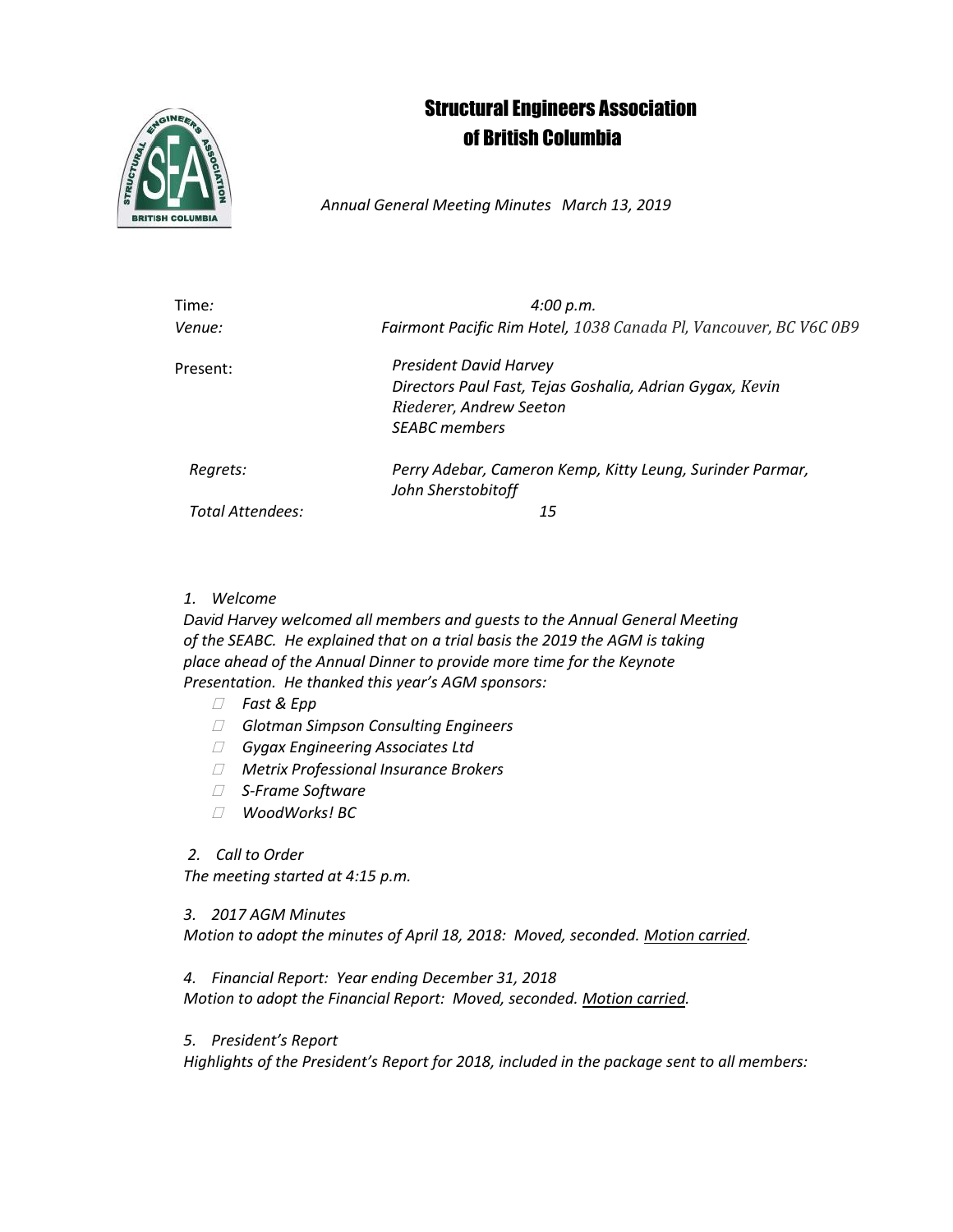# Structural Engineers Association of British Columbia



*Annual General Meeting Minutes March 13, 2019*

| Time:            | 4:00 p.m.                                                         |
|------------------|-------------------------------------------------------------------|
| Venue:           | Fairmont Pacific Rim Hotel, 1038 Canada Pl, Vancouver, BC V6C 0B9 |
| Present:         | <b>President David Harvey</b>                                     |
|                  | Directors Paul Fast, Tejas Goshalia, Adrian Gygax, Kevin          |
|                  | Riederer, Andrew Seeton                                           |
|                  | <b>SEABC</b> members                                              |
| Regrets:         | Perry Adebar, Cameron Kemp, Kitty Leung, Surinder Parmar,         |
|                  | John Sherstobitoff                                                |
| Total Attendees: | 15                                                                |
|                  |                                                                   |

### *1. Welcome*

*David Harvey welcomed all members and guests to the Annual General Meeting of the SEABC. He explained that on a trial basis the 2019 the AGM is taking place ahead of the Annual Dinner to provide more time for the Keynote Presentation. He thanked this year's AGM sponsors:*

- *Fast & Epp*
- *Glotman Simpson Consulting Engineers*
- *Gygax Engineering Associates Ltd*
- *Metrix Professional Insurance Brokers*
- *S-Frame Software*
- *WoodWorks! BC*

### *2. Call to Order*

*The meeting started at 4:15 p.m.*

### *3. 2017 AGM Minutes*

*Motion to adopt the minutes of April 18, 2018: Moved, seconded. Motion carried.*

*4. Financial Report: Year ending December 31, 2018*

*Motion to adopt the Financial Report: Moved, seconded. Motion carried.*

*5. President's Report*

*Highlights of the President's Report for 2018, included in the package sent to all members:*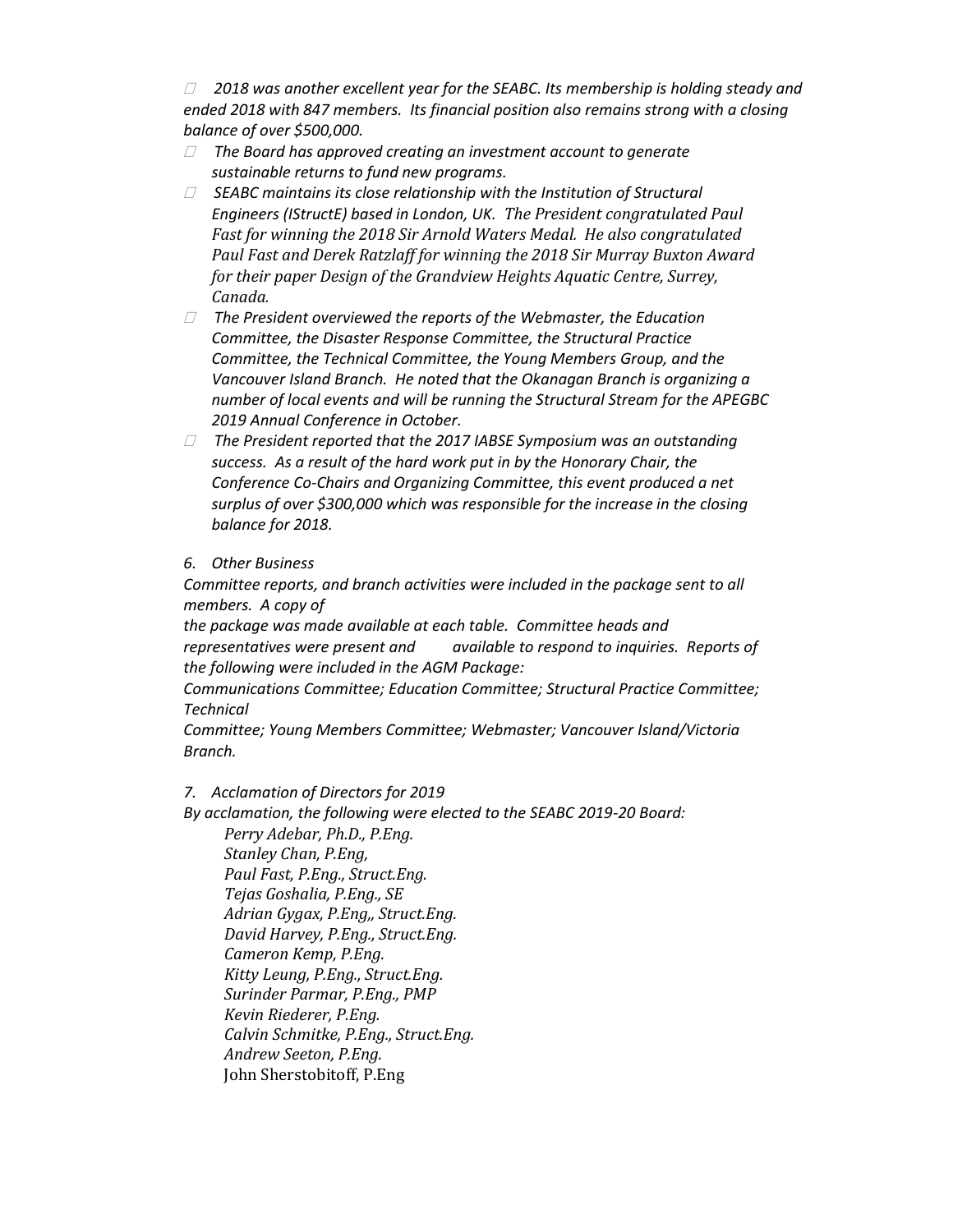*2018 was another excellent year for the SEABC. Its membership is holding steady and ended 2018 with 847 members. Its financial position also remains strong with a closing balance of over \$500,000.*

- *The Board has approved creating an investment account to generate sustainable returns to fund new programs.*
- *SEABC maintains its close relationship with the Institution of Structural Engineers (IStructE) based in London, UK. The President congratulated Paul Fast for winning the 2018 Sir Arnold Waters Medal. He also congratulated Paul Fast and Derek Ratzlaff for winning the 2018 Sir Murray Buxton Award for their paper Design of the Grandview Heights Aquatic Centre, Surrey, Canada.*
- *The President overviewed the reports of the Webmaster, the Education Committee, the Disaster Response Committee, the Structural Practice Committee, the Technical Committee, the Young Members Group, and the Vancouver Island Branch. He noted that the Okanagan Branch is organizing a number of local events and will be running the Structural Stream for the APEGBC 2019 Annual Conference in October.*
- *The President reported that the 2017 IABSE Symposium was an outstanding success. As a result of the hard work put in by the Honorary Chair, the Conference Co-Chairs and Organizing Committee, this event produced a net surplus of over \$300,000 which was responsible for the increase in the closing balance for 2018.*

### *6. Other Business*

*Committee reports, and branch activities were included in the package sent to all members. A copy of*

*the package was made available at each table. Committee heads and representatives were present and available to respond to inquiries. Reports of the following were included in the AGM Package:* 

*Communications Committee; Education Committee; Structural Practice Committee; Technical*

*Committee; Young Members Committee; Webmaster; Vancouver Island/Victoria Branch.*

### *7. Acclamation of Directors for 2019*

*By acclamation, the following were elected to the SEABC 2019-20 Board:*

*Perry Adebar, Ph.D., P.Eng. Stanley Chan, P.Eng, Paul Fast, P.Eng., Struct.Eng. Tejas Goshalia, P.Eng., SE Adrian Gygax, P.Eng,, Struct.Eng. David Harvey, P.Eng., Struct.Eng. Cameron Kemp, P.Eng. Kitty Leung, P.Eng., Struct.Eng. Surinder Parmar, P.Eng., PMP Kevin Riederer, P.Eng. Calvin Schmitke, P.Eng., Struct.Eng. Andrew Seeton, P.Eng.* John Sherstobitoff, P.Eng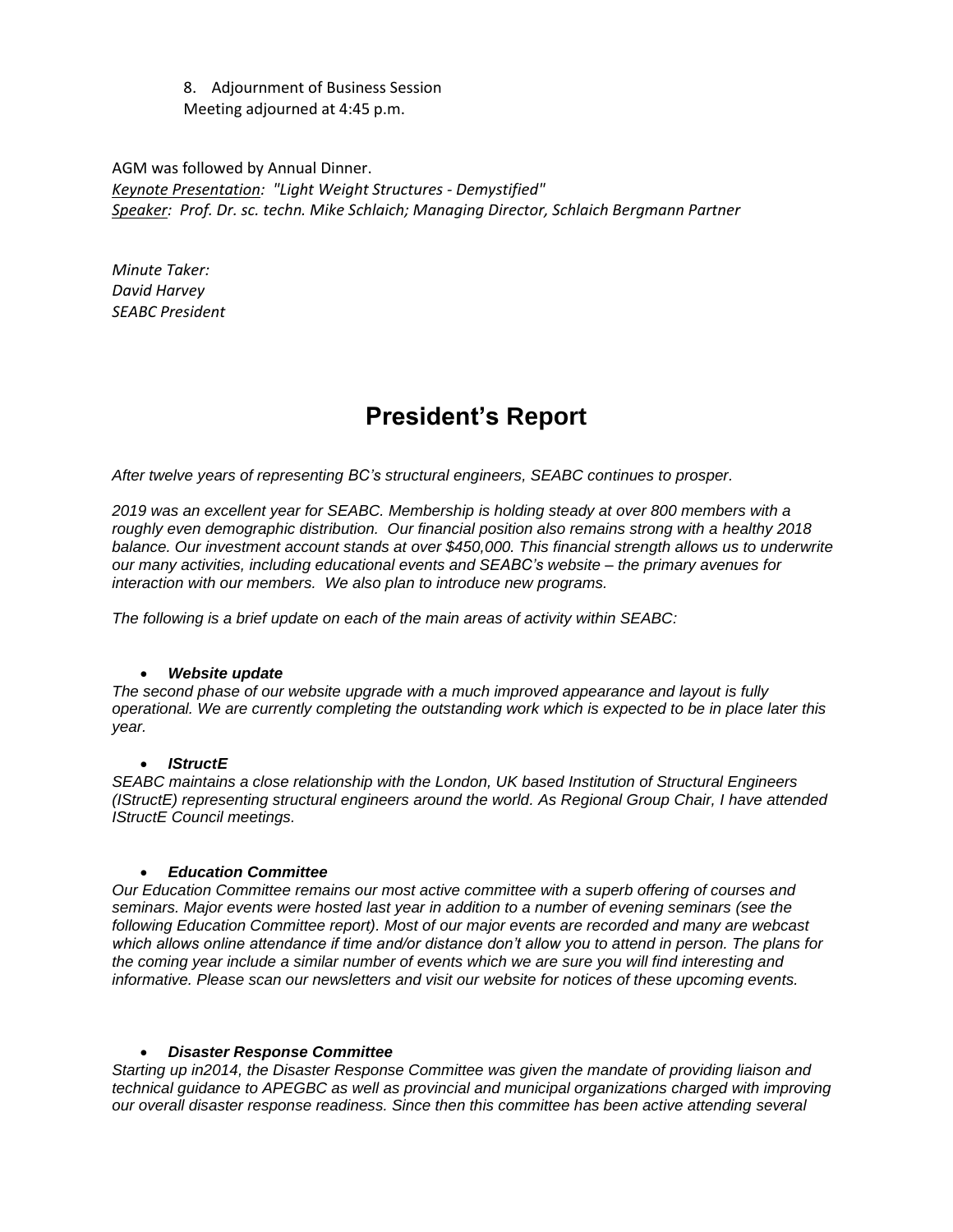8. Adjournment of Business Session Meeting adjourned at 4:45 p.m.

AGM was followed by Annual Dinner. *Keynote Presentation: "Light Weight Structures - Demystified" Speaker: Prof. Dr. sc. techn. Mike Schlaich; Managing Director, Schlaich Bergmann Partner*

*Minute Taker: David Harvey SEABC President*

# **President's Report**

*After twelve years of representing BC's structural engineers, SEABC continues to prosper.*

*2019 was an excellent year for SEABC. Membership is holding steady at over 800 members with a roughly even demographic distribution. Our financial position also remains strong with a healthy 2018 balance. Our investment account stands at over \$450,000. This financial strength allows us to underwrite our many activities, including educational events and SEABC's website – the primary avenues for interaction with our members. We also plan to introduce new programs.*

*The following is a brief update on each of the main areas of activity within SEABC:*

#### • *Website update*

*The second phase of our website upgrade with a much improved appearance and layout is fully operational. We are currently completing the outstanding work which is expected to be in place later this year.*

#### • *IStructE*

*SEABC maintains a close relationship with the London, UK based Institution of Structural Engineers (IStructE) representing structural engineers around the world. As Regional Group Chair, I have attended IStructE Council meetings.* 

#### • *Education Committee*

*Our Education Committee remains our most active committee with a superb offering of courses and seminars. Major events were hosted last year in addition to a number of evening seminars (see the following Education Committee report). Most of our major events are recorded and many are webcast which allows online attendance if time and/or distance don't allow you to attend in person. The plans for the coming year include a similar number of events which we are sure you will find interesting and informative. Please scan our newsletters and visit our website for notices of these upcoming events.*

#### • *Disaster Response Committee*

*Starting up in2014, the Disaster Response Committee was given the mandate of providing liaison and technical guidance to APEGBC as well as provincial and municipal organizations charged with improving our overall disaster response readiness. Since then this committee has been active attending several*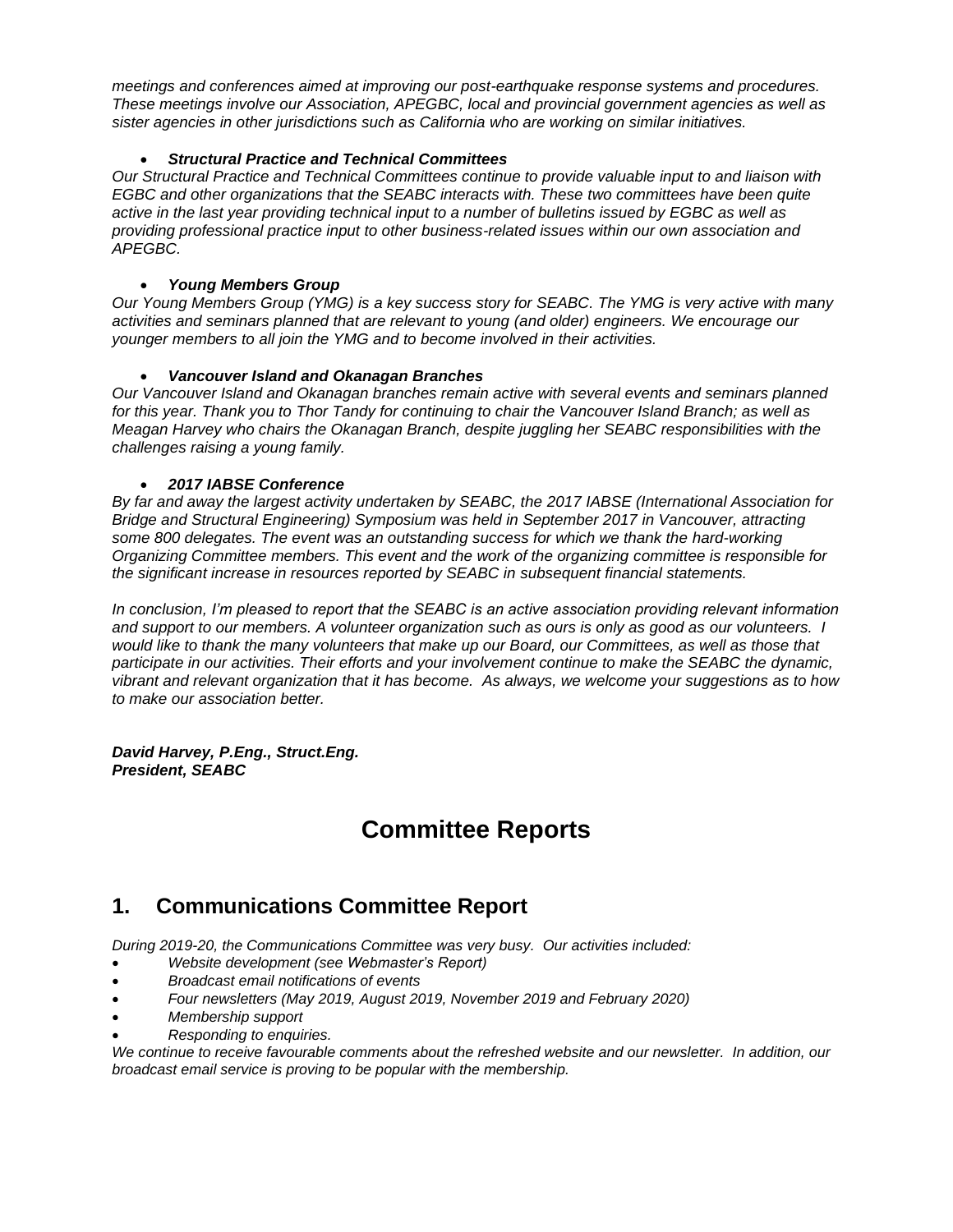*meetings and conferences aimed at improving our post-earthquake response systems and procedures. These meetings involve our Association, APEGBC, local and provincial government agencies as well as sister agencies in other jurisdictions such as California who are working on similar initiatives.* 

### • *Structural Practice and Technical Committees*

*Our Structural Practice and Technical Committees continue to provide valuable input to and liaison with EGBC and other organizations that the SEABC interacts with. These two committees have been quite active in the last year providing technical input to a number of bulletins issued by EGBC as well as providing professional practice input to other business-related issues within our own association and APEGBC.*

### • *Young Members Group*

*Our Young Members Group (YMG) is a key success story for SEABC. The YMG is very active with many activities and seminars planned that are relevant to young (and older) engineers. We encourage our younger members to all join the YMG and to become involved in their activities.*

### • *Vancouver Island and Okanagan Branches*

*Our Vancouver Island and Okanagan branches remain active with several events and seminars planned for this year. Thank you to Thor Tandy for continuing to chair the Vancouver Island Branch; as well as Meagan Harvey who chairs the Okanagan Branch, despite juggling her SEABC responsibilities with the challenges raising a young family.*

### • *2017 IABSE Conference*

*By far and away the largest activity undertaken by SEABC, the 2017 IABSE (International Association for Bridge and Structural Engineering) Symposium was held in September 2017 in Vancouver, attracting some 800 delegates. The event was an outstanding success for which we thank the hard-working Organizing Committee members. This event and the work of the organizing committee is responsible for the significant increase in resources reported by SEABC in subsequent financial statements.*

*In conclusion, I'm pleased to report that the SEABC is an active association providing relevant information and support to our members. A volunteer organization such as ours is only as good as our volunteers. I would like to thank the many volunteers that make up our Board, our Committees, as well as those that participate in our activities. Their efforts and your involvement continue to make the SEABC the dynamic, vibrant and relevant organization that it has become. As always, we welcome your suggestions as to how to make our association better.*

*David Harvey, P.Eng., Struct.Eng. President, SEABC*

# **Committee Reports**

## **1. Communications Committee Report**

*During 2019-20, the Communications Committee was very busy. Our activities included:*

- *Website development (see Webmaster's Report)*
- *Broadcast email notifications of events*
- *Four newsletters (May 2019, August 2019, November 2019 and February 2020)*
- *Membership support*
- *Responding to enquiries.*

*We continue to receive favourable comments about the refreshed website and our newsletter. In addition, our broadcast email service is proving to be popular with the membership.*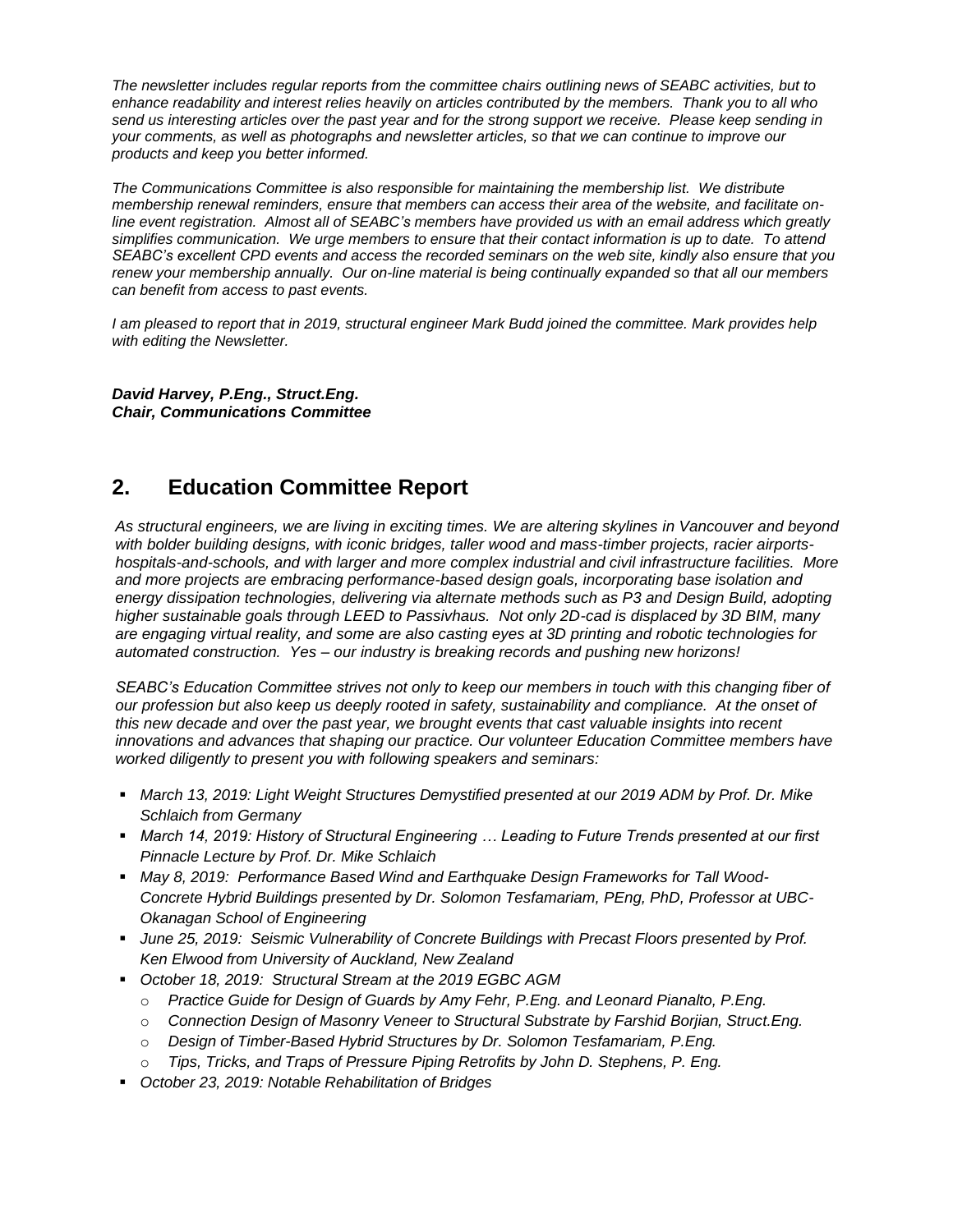*The newsletter includes regular reports from the committee chairs outlining news of SEABC activities, but to enhance readability and interest relies heavily on articles contributed by the members. Thank you to all who send us interesting articles over the past year and for the strong support we receive. Please keep sending in your comments, as well as photographs and newsletter articles, so that we can continue to improve our products and keep you better informed.* 

*The Communications Committee is also responsible for maintaining the membership list. We distribute membership renewal reminders, ensure that members can access their area of the website, and facilitate online event registration. Almost all of SEABC's members have provided us with an email address which greatly simplifies communication. We urge members to ensure that their contact information is up to date. To attend SEABC's excellent CPD events and access the recorded seminars on the web site, kindly also ensure that you renew your membership annually. Our on-line material is being continually expanded so that all our members can benefit from access to past events.* 

*I am pleased to report that in 2019, structural engineer Mark Budd joined the committee. Mark provides help with editing the Newsletter.*

*David Harvey, P.Eng., Struct.Eng. Chair, Communications Committee*

### **2. Education Committee Report**

*As structural engineers, we are living in exciting times. We are altering skylines in Vancouver and beyond with bolder building designs, with iconic bridges, taller wood and mass-timber projects, racier airportshospitals-and-schools, and with larger and more complex industrial and civil infrastructure facilities. More and more projects are embracing performance-based design goals, incorporating base isolation and energy dissipation technologies, delivering via alternate methods such as P3 and Design Build, adopting higher sustainable goals through LEED to Passivhaus. Not only 2D-cad is displaced by 3D BIM, many are engaging virtual reality, and some are also casting eyes at 3D printing and robotic technologies for automated construction. Yes – our industry is breaking records and pushing new horizons!*

*SEABC's Education Committee strives not only to keep our members in touch with this changing fiber of our profession but also keep us deeply rooted in safety, sustainability and compliance. At the onset of this new decade and over the past year, we brought events that cast valuable insights into recent innovations and advances that shaping our practice. Our volunteer Education Committee members have worked diligently to present you with following speakers and seminars:*

- *March 13, 2019: Light Weight Structures Demystified presented at our 2019 ADM by Prof. Dr. Mike Schlaich from Germany*
- March 14, 2019: History of Structural Engineering ... Leading to Future Trends presented at our first *Pinnacle Lecture by Prof. Dr. Mike Schlaich*
- **May 8, 2019: Performance Based Wind and Earthquake Design Frameworks for Tall Wood-***Concrete Hybrid Buildings presented by Dr. Solomon Tesfamariam, PEng, PhD, Professor at UBC-Okanagan School of Engineering*
- *June 25, 2019: Seismic Vulnerability of Concrete Buildings with Precast Floors presented by Prof. Ken Elwood from University of Auckland, New Zealand*
- *October 18, 2019: Structural Stream at the 2019 EGBC AGM*
	- o *Practice Guide for Design of Guards by Amy Fehr, P.Eng. and Leonard Pianalto, P.Eng.*
	- o *Connection Design of Masonry Veneer to Structural Substrate by Farshid Borjian, Struct.Eng.*
	- o *Design of Timber-Based Hybrid Structures by Dr. Solomon Tesfamariam, P.Eng.*
	- o *Tips, Tricks, and Traps of Pressure Piping Retrofits by John D. Stephens, P. Eng.*
- *October 23, 2019: Notable Rehabilitation of Bridges*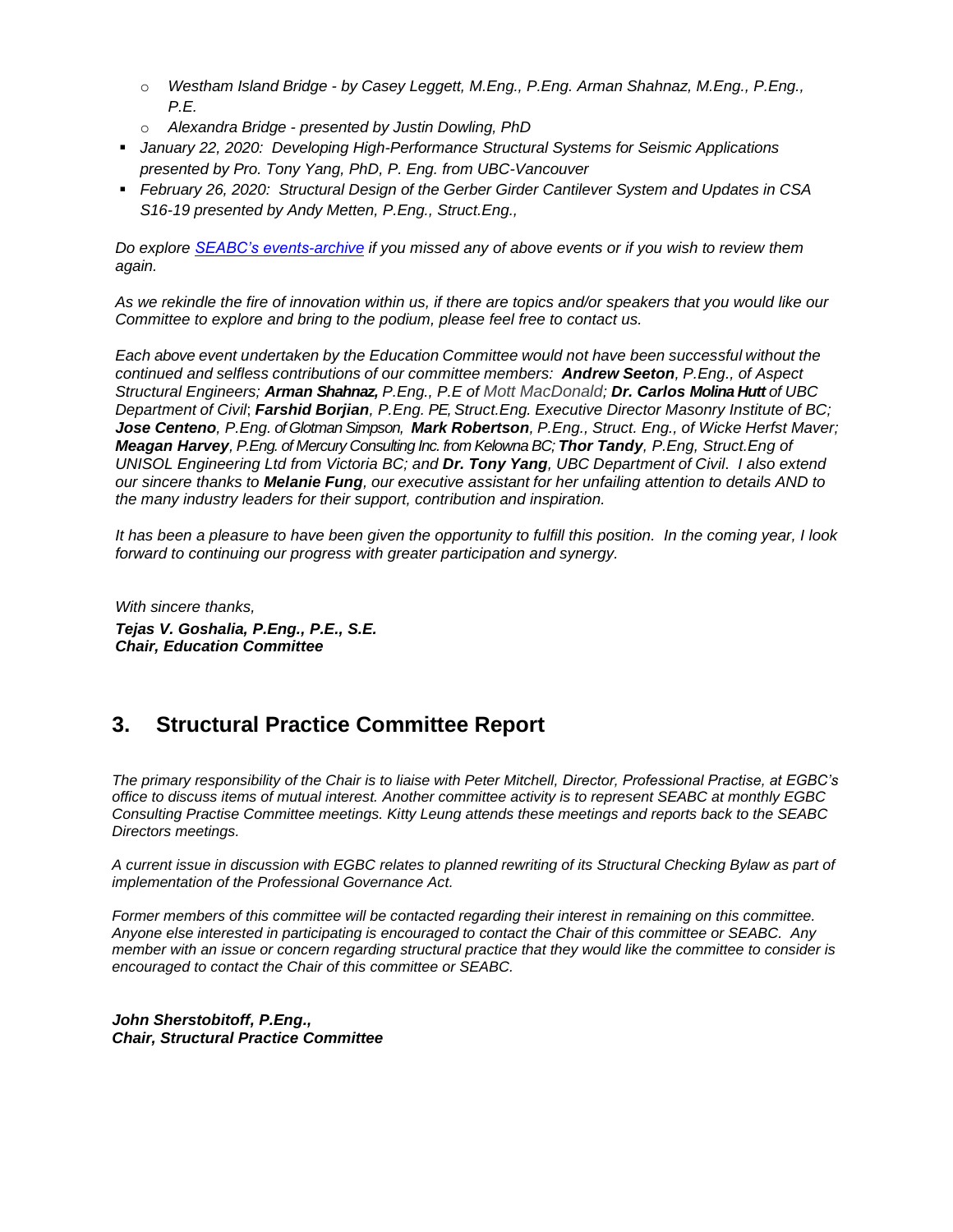- o *Westham Island Bridge - by Casey Leggett, M.Eng., P.Eng. Arman Shahnaz, M.Eng., P.Eng., P.E.*
- o *Alexandra Bridge - presented by Justin Dowling, PhD*
- *January 22, 2020: Developing High-Performance Structural Systems for Seismic Applications presented by Pro. Tony Yang, PhD, P. Eng. from UBC-Vancouver*
- *February 26, 2020: Structural Design of the Gerber Girder Cantilever System and Updates in CSA S16-19 presented by Andy Metten, P.Eng., Struct.Eng.,*

*Do explore [SEABC's events-archive](https://seabc.ca/category/events-archive/) if you missed any of above events or if you wish to review them again.*

*As we rekindle the fire of innovation within us, if there are topics and/or speakers that you would like our Committee to explore and bring to the podium, please feel free to contact us.*

*Each above event undertaken by the Education Committee would not have been successful without the continued and selfless contributions of our committee members: Andrew Seeton, P.Eng., of Aspect Structural Engineers; Arman Shahnaz, P.Eng., P.E of Mott MacDonald; Dr. Carlos Molina Hutt of UBC Department of Civil*; *Farshid Borjian, P.Eng. PE, Struct.Eng. Executive Director Masonry Institute of BC; Jose Centeno, P.Eng. of Glotman Simpson, Mark Robertson, P.Eng., Struct. Eng., of Wicke Herfst Maver; Meagan Harvey, P.Eng. of Mercury Consulting Inc. from Kelowna BC; Thor Tandy, P.Eng, Struct.Eng of UNISOL Engineering Ltd from Victoria BC; and Dr. Tony Yang, UBC Department of Civil*. *I also extend our sincere thanks to Melanie Fung, our executive assistant for her unfailing attention to details AND to the many industry leaders for their support, contribution and inspiration.*

*It has been a pleasure to have been given the opportunity to fulfill this position. In the coming year, I look forward to continuing our progress with greater participation and synergy.*

*With sincere thanks, Tejas V. Goshalia, P.Eng., P.E., S.E. Chair, Education Committee*

### **3. Structural Practice Committee Report**

*The primary responsibility of the Chair is to liaise with Peter Mitchell, Director, Professional Practise, at EGBC's office to discuss items of mutual interest. Another committee activity is to represent SEABC at monthly EGBC Consulting Practise Committee meetings. Kitty Leung attends these meetings and reports back to the SEABC Directors meetings.*

*A current issue in discussion with EGBC relates to planned rewriting of its Structural Checking Bylaw as part of implementation of the Professional Governance Act.* 

*Former members of this committee will be contacted regarding their interest in remaining on this committee. Anyone else interested in participating is encouraged to contact the Chair of this committee or SEABC. Any member with an issue or concern regarding structural practice that they would like the committee to consider is encouraged to contact the Chair of this committee or SEABC.*

*John Sherstobitoff, P.Eng., Chair, Structural Practice Committee*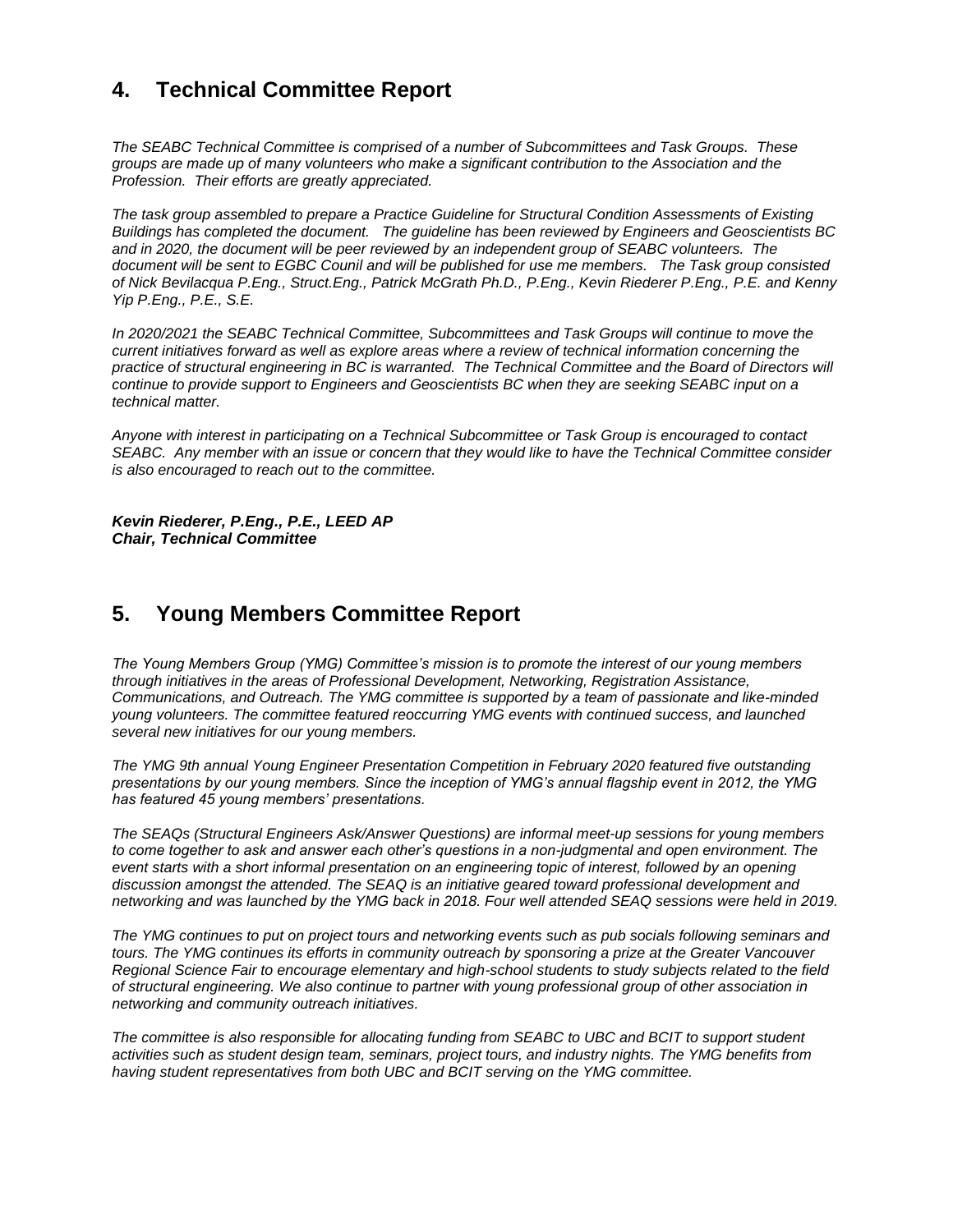### **4. Technical Committee Report**

*The SEABC Technical Committee is comprised of a number of Subcommittees and Task Groups. These groups are made up of many volunteers who make a significant contribution to the Association and the Profession. Their efforts are greatly appreciated.*

*The task group assembled to prepare a Practice Guideline for Structural Condition Assessments of Existing Buildings has completed the document. The guideline has been reviewed by Engineers and Geoscientists BC and in 2020, the document will be peer reviewed by an independent group of SEABC volunteers. The document will be sent to EGBC Counil and will be published for use me members. The Task group consisted of Nick Bevilacqua P.Eng., Struct.Eng., Patrick McGrath Ph.D., P.Eng., Kevin Riederer P.Eng., P.E. and Kenny Yip P.Eng., P.E., S.E.* 

*In 2020/2021 the SEABC Technical Committee, Subcommittees and Task Groups will continue to move the current initiatives forward as well as explore areas where a review of technical information concerning the practice of structural engineering in BC is warranted. The Technical Committee and the Board of Directors will continue to provide support to Engineers and Geoscientists BC when they are seeking SEABC input on a technical matter.*

*Anyone with interest in participating on a Technical Subcommittee or Task Group is encouraged to contact SEABC. Any member with an issue or concern that they would like to have the Technical Committee consider is also encouraged to reach out to the committee.* 

*Kevin Riederer, P.Eng., P.E., LEED AP Chair, Technical Committee*

### **5. Young Members Committee Report**

*The Young Members Group (YMG) Committee's mission is to promote the interest of our young members through initiatives in the areas of Professional Development, Networking, Registration Assistance, Communications, and Outreach. The YMG committee is supported by a team of passionate and like-minded young volunteers. The committee featured reoccurring YMG events with continued success, and launched several new initiatives for our young members.*

*The YMG 9th annual Young Engineer Presentation Competition in February 2020 featured five outstanding presentations by our young members. Since the inception of YMG's annual flagship event in 2012, the YMG has featured 45 young members' presentations.*

*The SEAQs (Structural Engineers Ask/Answer Questions) are informal meet-up sessions for young members to come together to ask and answer each other's questions in a non-judgmental and open environment. The event starts with a short informal presentation on an engineering topic of interest, followed by an opening discussion amongst the attended. The SEAQ is an initiative geared toward professional development and networking and was launched by the YMG back in 2018. Four well attended SEAQ sessions were held in 2019.*

*The YMG continues to put on project tours and networking events such as pub socials following seminars and tours. The YMG continues its efforts in community outreach by sponsoring a prize at the Greater Vancouver Regional Science Fair to encourage elementary and high-school students to study subjects related to the field of structural engineering. We also continue to partner with young professional group of other association in networking and community outreach initiatives.*

*The committee is also responsible for allocating funding from SEABC to UBC and BCIT to support student activities such as student design team, seminars, project tours, and industry nights. The YMG benefits from having student representatives from both UBC and BCIT serving on the YMG committee.*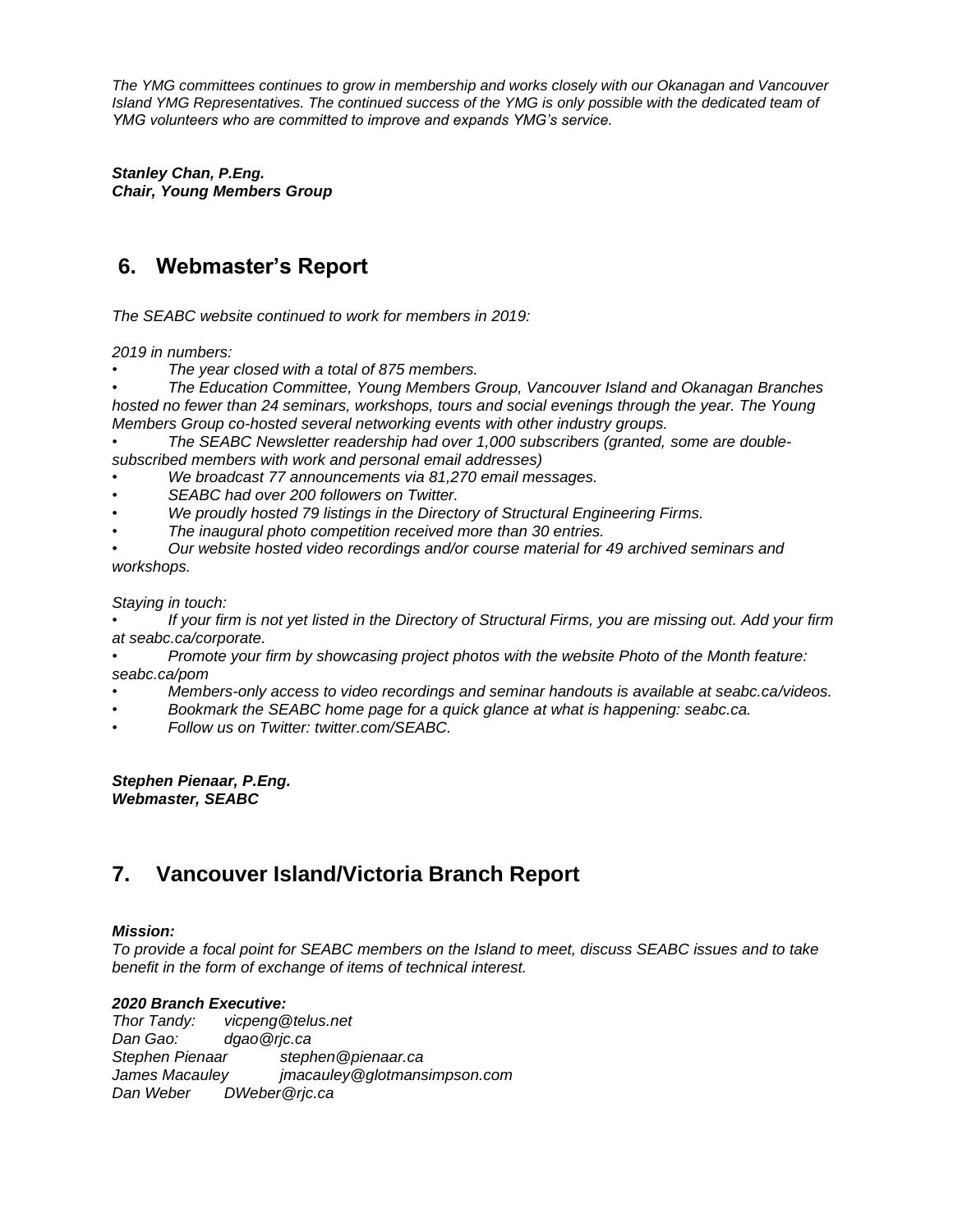*The YMG committees continues to grow in membership and works closely with our Okanagan and Vancouver Island YMG Representatives. The continued success of the YMG is only possible with the dedicated team of YMG volunteers who are committed to improve and expands YMG's service.*

*Stanley Chan, P.Eng. Chair, Young Members Group*

## **6. Webmaster's Report**

*The SEABC website continued to work for members in 2019:*

*2019 in numbers:*

*• The year closed with a total of 875 members.*

*• The Education Committee, Young Members Group, Vancouver Island and Okanagan Branches hosted no fewer than 24 seminars, workshops, tours and social evenings through the year. The Young Members Group co-hosted several networking events with other industry groups.*

*• The SEABC Newsletter readership had over 1,000 subscribers (granted, some are doublesubscribed members with work and personal email addresses)*

- *• We broadcast 77 announcements via 81,270 email messages.*
- *• SEABC had over 200 followers on Twitter.*
- *• We proudly hosted 79 listings in the Directory of Structural Engineering Firms.*
- *• The inaugural photo competition received more than 30 entries.*

*• Our website hosted video recordings and/or course material for 49 archived seminars and workshops.*

*Staying in touch:*

*• If your firm is not yet listed in the Directory of Structural Firms, you are missing out. Add your firm at seabc.ca/corporate.*

*• Promote your firm by showcasing project photos with the website Photo of the Month feature: seabc.ca/pom*

- *• Members-only access to video recordings and seminar handouts is available at seabc.ca/videos.*
- *• Bookmark the SEABC home page for a quick glance at what is happening: seabc.ca.*
- *• Follow us on Twitter: twitter.com/SEABC.*

*Stephen Pienaar, P.Eng. Webmaster, SEABC*

### **7. Vancouver Island/Victoria Branch Report**

### *Mission:*

*To provide a focal point for SEABC members on the Island to meet, discuss SEABC issues and to take benefit in the form of exchange of items of technical interest.* 

### *2020 Branch Executive:*

*Thor Tandy: vicpeng@telus.net Dan Gao: dgao@rjc.ca Stephen Pienaar stephen@pienaar.ca James Macauley jmacauley@glotmansimpson.com Dan Weber DWeber@rjc.ca*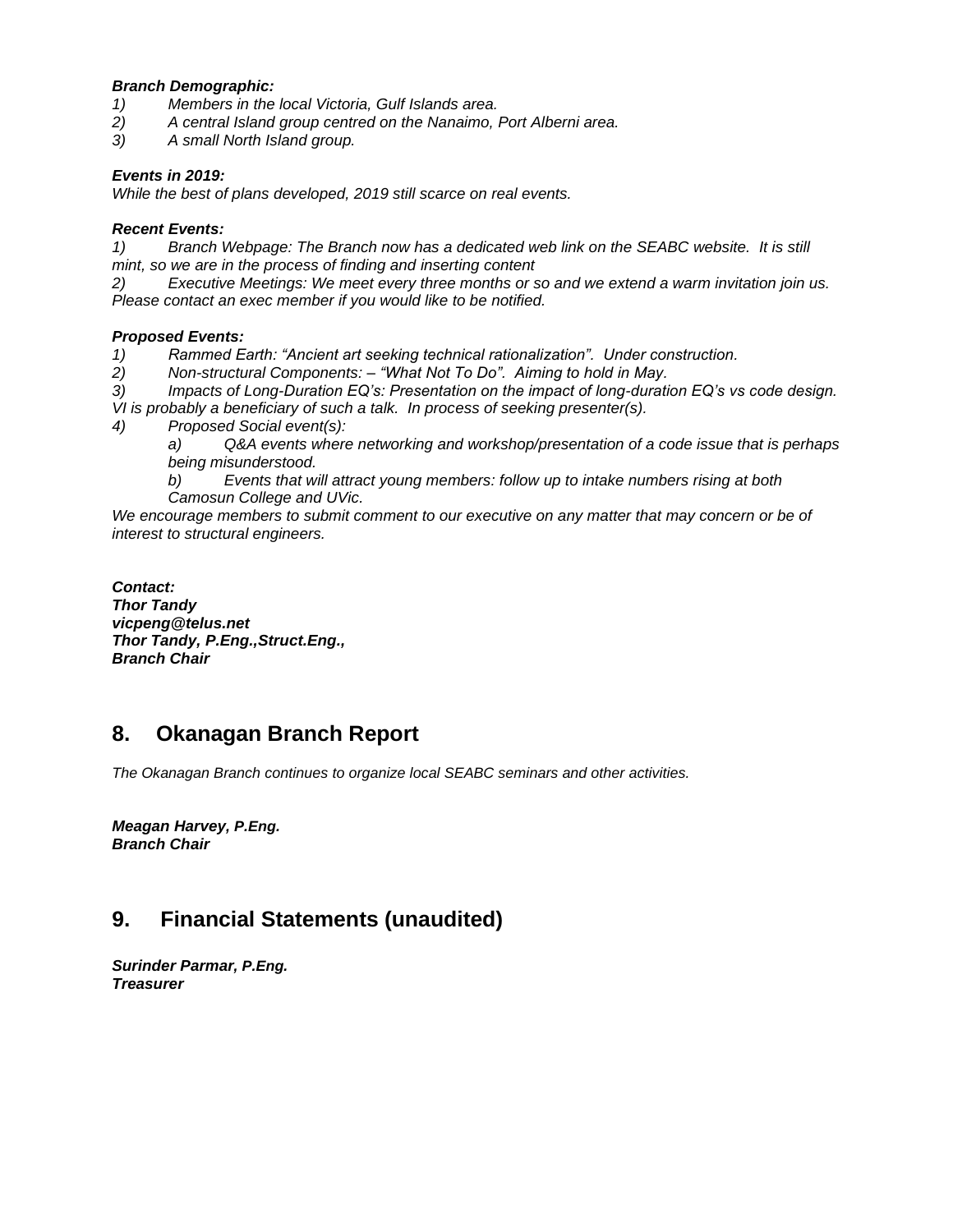#### *Branch Demographic:*

- *1) Members in the local Victoria, Gulf Islands area.*
- *2) A central Island group centred on the Nanaimo, Port Alberni area.*
- *3) A small North Island group.*

### *Events in 2019:*

*While the best of plans developed, 2019 still scarce on real events.*

#### *Recent Events:*

*1) Branch Webpage: The Branch now has a dedicated web link on the SEABC website. It is still mint, so we are in the process of finding and inserting content*

*2) Executive Meetings: We meet every three months or so and we extend a warm invitation join us. Please contact an exec member if you would like to be notified.*

### *Proposed Events:*

*1) Rammed Earth: "Ancient art seeking technical rationalization". Under construction.*

*2) Non-structural Components: – "What Not To Do". Aiming to hold in May.*

*3) Impacts of Long-Duration EQ's: Presentation on the impact of long-duration EQ's vs code design. VI is probably a beneficiary of such a talk. In process of seeking presenter(s).* 

*4) Proposed Social event(s):* 

*a) Q&A events where networking and workshop/presentation of a code issue that is perhaps being misunderstood.*

*b) Events that will attract young members: follow up to intake numbers rising at both Camosun College and UVic.*

*We encourage members to submit comment to our executive on any matter that may concern or be of interest to structural engineers.*

*Contact: Thor Tandy vicpeng@telus.net Thor Tandy, P.Eng.,Struct.Eng., Branch Chair*

### **8. Okanagan Branch Report**

*The Okanagan Branch continues to organize local SEABC seminars and other activities.*

*Meagan Harvey, P.Eng. Branch Chair*

### **9. Financial Statements (unaudited)**

*Surinder Parmar, P.Eng. Treasurer*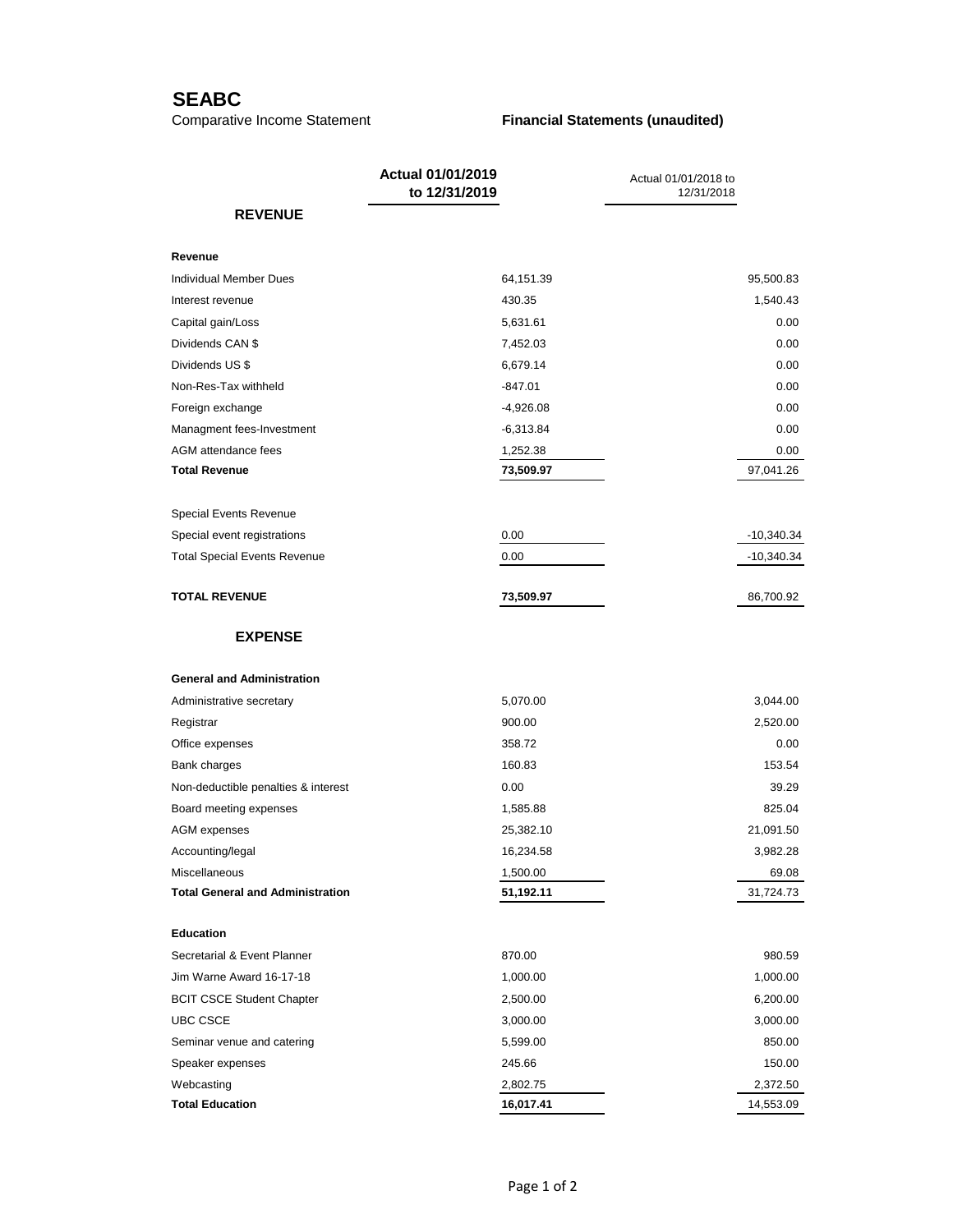### **SEABC**

#### Comparative Income Statement **Financial Statements (unaudited)**

|                                         | Actual 01/01/2019<br>to 12/31/2019 | Actual 01/01/2018 to<br>12/31/2018 |  |
|-----------------------------------------|------------------------------------|------------------------------------|--|
| <b>REVENUE</b>                          |                                    |                                    |  |
| Revenue                                 |                                    |                                    |  |
| Individual Member Dues                  | 64,151.39                          | 95,500.83                          |  |
| Interest revenue                        | 430.35                             | 1,540.43                           |  |
| Capital gain/Loss                       | 5,631.61                           | 0.00                               |  |
| Dividends CAN \$                        | 7,452.03                           | 0.00                               |  |
| Dividends US \$                         | 6,679.14                           | 0.00                               |  |
| Non-Res-Tax withheld                    | $-847.01$                          | 0.00                               |  |
| Foreign exchange                        | $-4,926.08$                        | 0.00                               |  |
| Managment fees-Investment               | $-6,313.84$                        | 0.00                               |  |
| AGM attendance fees                     | 1,252.38                           | 0.00                               |  |
| <b>Total Revenue</b>                    | 73,509.97                          | 97,041.26                          |  |
| <b>Special Events Revenue</b>           |                                    |                                    |  |
| Special event registrations             | 0.00                               | -10,340.34                         |  |
| <b>Total Special Events Revenue</b>     | 0.00                               | -10,340.34                         |  |
| <b>TOTAL REVENUE</b>                    | 73,509.97                          | 86,700.92                          |  |
| <b>EXPENSE</b>                          |                                    |                                    |  |
| <b>General and Administration</b>       |                                    |                                    |  |
| Administrative secretary                | 5,070.00                           | 3,044.00                           |  |
| Registrar                               | 900.00                             | 2,520.00                           |  |
| Office expenses                         | 358.72                             | 0.00                               |  |
| Bank charges                            | 160.83                             | 153.54                             |  |
| Non-deductible penalties & interest     | 0.00                               | 39.29                              |  |
| Board meeting expenses                  | 1,585.88                           | 825.04                             |  |
| AGM expenses                            | 25,382.10                          | 21,091.50                          |  |
| Accounting/legal                        | 16,234.58                          | 3,982.28                           |  |
| Miscellaneous                           | 1,500.00                           | 69.08                              |  |
| <b>Total General and Administration</b> | 51,192.11                          | 31,724.73                          |  |
| <b>Education</b>                        |                                    |                                    |  |
| Secretarial & Event Planner             | 870.00                             | 980.59                             |  |
| Jim Warne Award 16-17-18                | 1,000.00                           | 1,000.00                           |  |
| <b>BCIT CSCE Student Chapter</b>        | 2,500.00                           | 6,200.00                           |  |
| <b>UBC CSCE</b>                         | 3,000.00                           | 3,000.00                           |  |
| Seminar venue and catering              | 5,599.00                           | 850.00                             |  |
| Speaker expenses                        | 245.66                             | 150.00                             |  |
| Webcasting                              | 2,802.75                           | 2,372.50                           |  |
| <b>Total Education</b>                  | 16,017.41                          | 14,553.09                          |  |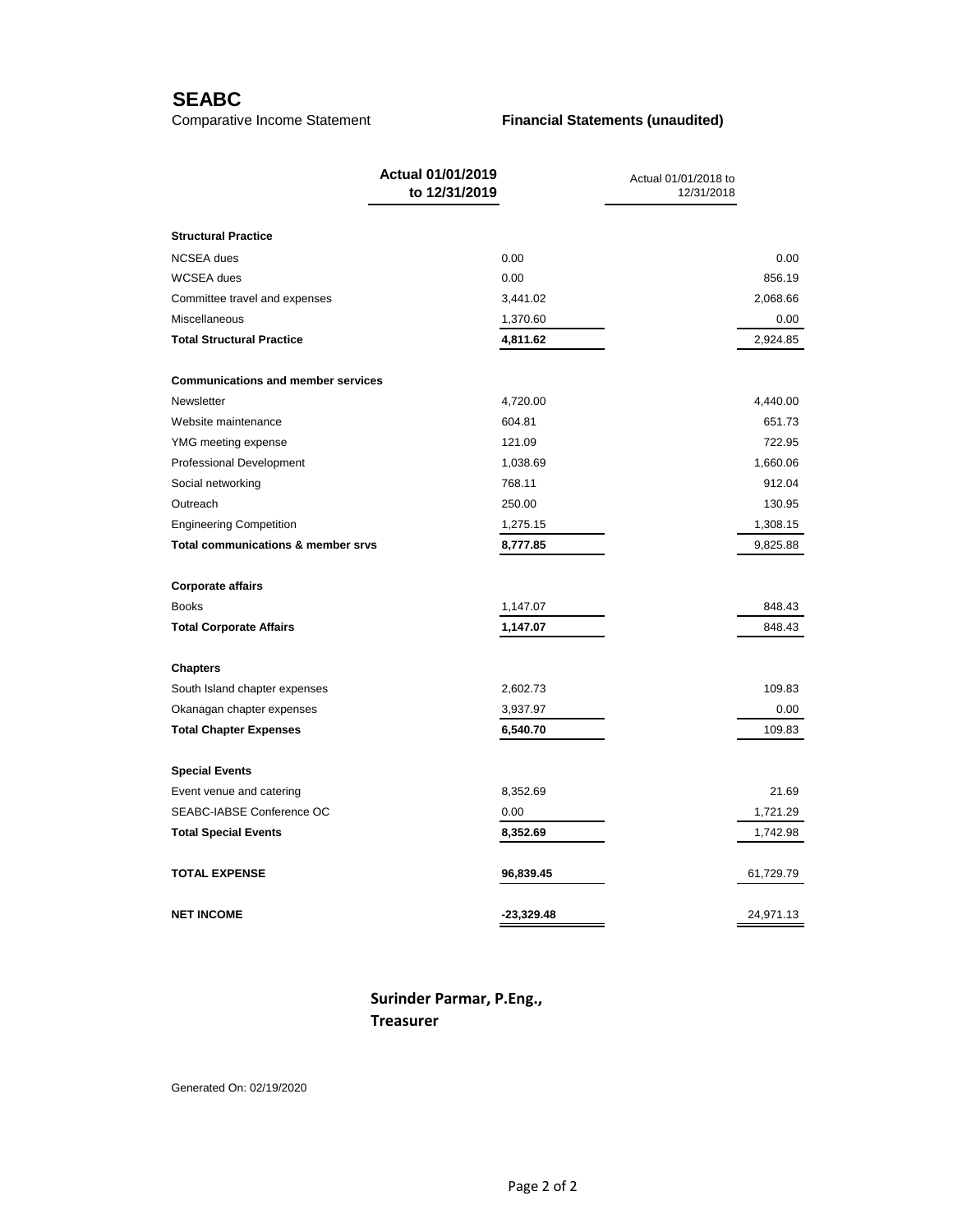### **SEABC**

#### Comparative Income Statement **Financial Statements (unaudited)**

|                                           | Actual 01/01/2019<br>to 12/31/2019 | Actual 01/01/2018 to<br>12/31/2018 |  |
|-------------------------------------------|------------------------------------|------------------------------------|--|
| <b>Structural Practice</b>                |                                    |                                    |  |
| <b>NCSEA</b> dues                         | 0.00                               | 0.00                               |  |
| <b>WCSEA</b> dues                         | 0.00                               | 856.19                             |  |
| Committee travel and expenses             | 3,441.02                           | 2,068.66                           |  |
| Miscellaneous                             | 1,370.60                           | 0.00                               |  |
| <b>Total Structural Practice</b>          | 4,811.62                           | 2,924.85                           |  |
| <b>Communications and member services</b> |                                    |                                    |  |
| Newsletter                                | 4,720.00                           | 4,440.00                           |  |
| Website maintenance                       | 604.81                             | 651.73                             |  |
| YMG meeting expense                       | 121.09                             | 722.95                             |  |
| <b>Professional Development</b>           | 1,038.69                           | 1,660.06                           |  |
| Social networking                         | 768.11                             | 912.04                             |  |
| Outreach                                  | 250.00                             | 130.95                             |  |
| <b>Engineering Competition</b>            | 1,275.15                           | 1,308.15                           |  |
| Total communications & member srvs        | 8,777.85                           | 9,825.88                           |  |
| <b>Corporate affairs</b>                  |                                    |                                    |  |
| <b>Books</b>                              | 1,147.07                           | 848.43                             |  |
| <b>Total Corporate Affairs</b>            | 1,147.07                           | 848.43                             |  |
| <b>Chapters</b>                           |                                    |                                    |  |
| South Island chapter expenses             | 2,602.73                           | 109.83                             |  |
| Okanagan chapter expenses                 | 3,937.97                           | 0.00                               |  |
| <b>Total Chapter Expenses</b>             | 6,540.70                           | 109.83                             |  |
| <b>Special Events</b>                     |                                    |                                    |  |
| Event venue and catering                  | 8,352.69                           | 21.69                              |  |
| SEABC-IABSE Conference OC                 | 0.00                               | 1,721.29                           |  |
| <b>Total Special Events</b>               | 8,352.69                           | 1,742.98                           |  |
| <b>TOTAL EXPENSE</b>                      | 96,839.45                          | 61,729.79                          |  |
| <b>NET INCOME</b>                         | $-23,329.48$                       | 24,971.13                          |  |

**Surinder Parmar, P.Eng., Treasurer**

Generated On: 02/19/2020